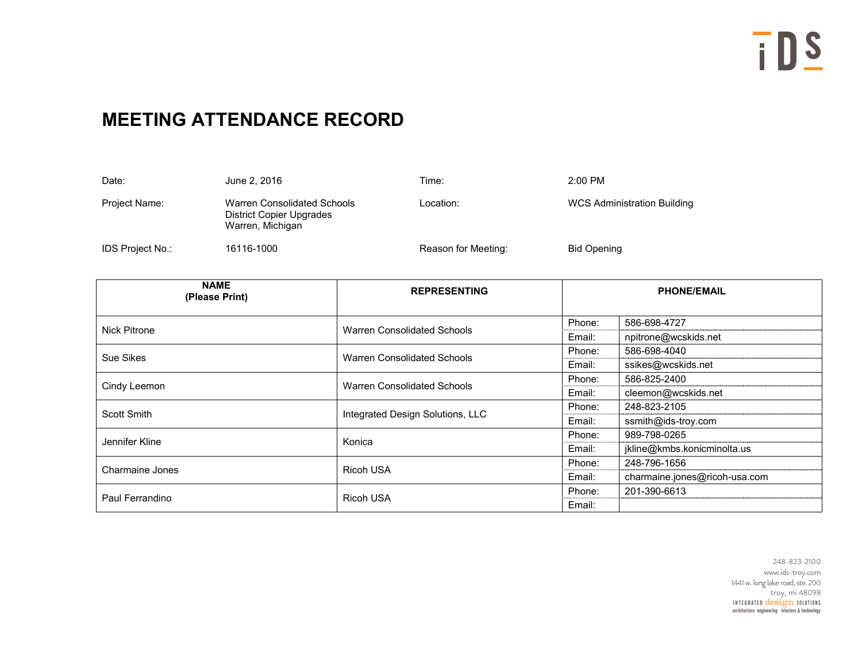## **MEETING ATTENDANCE RECORD**

| Date:            | June 2, 2016                                                                | Time:               | $2:00$ PM                          |
|------------------|-----------------------------------------------------------------------------|---------------------|------------------------------------|
| Project Name:    | Warren Consolidated Schools<br>District Copier Upgrades<br>Warren, Michigan | Location:           | <b>WCS Administration Building</b> |
| IDS Project No.: | 16116-1000                                                                  | Reason for Meeting: | <b>Bid Opening</b>                 |

| <b>NAME</b><br>(Please Print) | <b>REPRESENTING</b>              | <b>PHONE/EMAIL</b> |                               |
|-------------------------------|----------------------------------|--------------------|-------------------------------|
| <b>Nick Pitrone</b>           |                                  | Phone:             | 586-698-4727                  |
|                               | Warren Consolidated Schools      |                    | npitrone@wcskids.net          |
| Sue Sikes                     |                                  | Phone:             | 586-698-4040                  |
|                               | Warren Consolidated Schools      |                    | ssikes@wcskids.net            |
|                               |                                  | Phone:             | 586-825-2400                  |
| Cindy Leemon                  | Warren Consolidated Schools      | Email:             | cleemon@wcskids.net           |
|                               |                                  | Phone:             | 248-823-2105                  |
| Scott Smith                   | Integrated Design Solutions, LLC |                    | ssmith@ids-troy.com           |
|                               |                                  | Phone:             | 989-798-0265                  |
| Jennifer Kline                | Konica                           |                    | jkline@kmbs.konicminolta.us   |
|                               |                                  | Phone:             | 248-796-1656                  |
| Charmaine Jones               | <b>Ricoh USA</b>                 |                    | charmaine.jones@ricoh-usa.com |
|                               |                                  | Phone:             | 201-390-6613                  |
| Paul Ferrandino               | <b>Ricoh USA</b>                 |                    |                               |

INTEGRATED  $\overline{\text{design}}$  solutions architecture engineering interiors & technology 248-823-2100 www.ids-troy.com 1441 w. long lake road, ste. 200 troy, mi 48098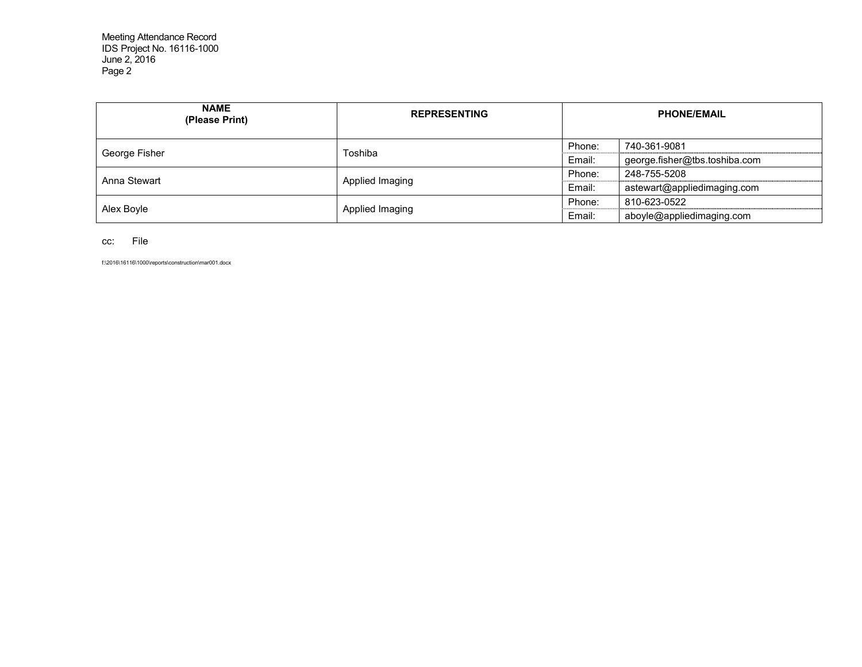Meeting Attendance Record IDS Project No. 16116-1000 June 2, 2016 Page 2

| <b>NAME</b><br>(Please Print) | <b>REPRESENTING</b> | <b>PHONE/EMAIL</b> |                               |
|-------------------------------|---------------------|--------------------|-------------------------------|
|                               | Toshiba             | Phone:             | 740-361-9081                  |
| George Fisher                 |                     | Email:             | george.fisher@tbs.toshiba.com |
| Anna Stewart                  | Applied Imaging     | Phone:             | 248-755-5208                  |
|                               |                     | Email:             | astewart@appliedimaging.com   |
|                               |                     | Phone:             | 810-623-0522                  |
| Alex Boyle                    | Applied Imaging     | Email:             | aboyle@appliedimaging.com     |

cc: File

f:\2016\16116\1000\reports\construction\mar001.docx